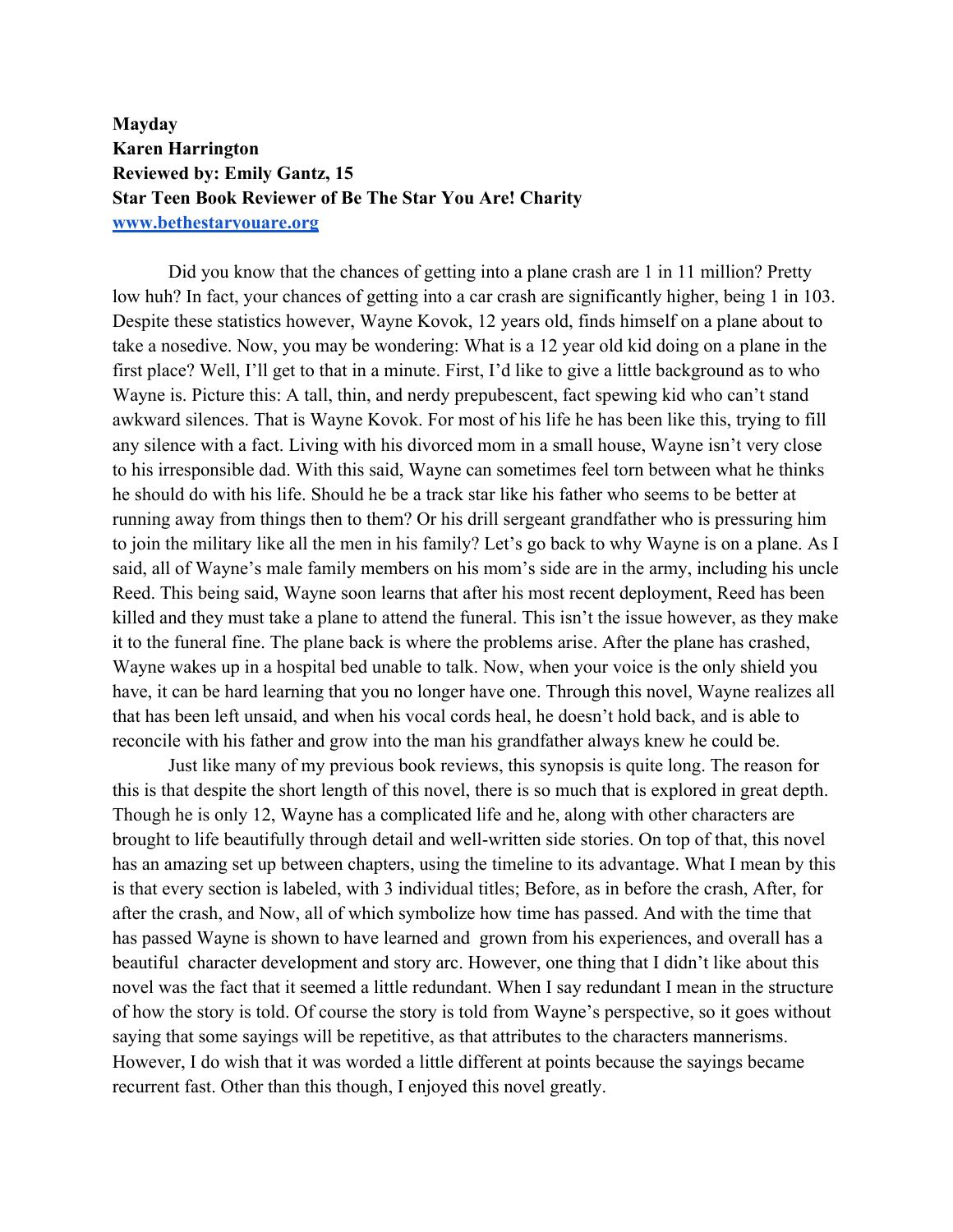## **Mayday Karen Harrington Reviewed by: Emily Gantz, 15 Star Teen Book Reviewer of Be The Star You Are! Charity www.bethestaryouare.org**

Did you know that the chances of getting into a plane crash are 1 in 11 million? Pretty low huh? In fact, your chances of getting into a car crash are significantly higher, being 1 in 103. Despite these statistics however, Wayne Kovok, 12 years old, finds himself on a plane about to take a nosedive. Now, you may be wondering: What is a 12 year old kid doing on a plane in the first place? Well, I'll get to that in a minute. First, I'd like to give a little background as to who Wayne is. Picture this: A tall, thin, and nerdy prepubescent, fact spewing kid who can't stand awkward silences. That is Wayne Kovok. For most of his life he has been like this, trying to fill any silence with a fact. Living with his divorced mom in a small house, Wayne isn't very close to his irresponsible dad. With this said, Wayne can sometimes feel torn between what he thinks he should do with his life. Should he be a track star like his father who seems to be better at running away from things then to them? Or his drill sergeant grandfather who is pressuring him to join the military like all the men in his family? Let's go back to why Wayne is on a plane. As I said, all of Wayne's male family members on his mom's side are in the army, including his uncle Reed. This being said, Wayne soon learns that after his most recent deployment, Reed has been killed and they must take a plane to attend the funeral. This isn't the issue however, as they make it to the funeral fine. The plane back is where the problems arise. After the plane has crashed, Wayne wakes up in a hospital bed unable to talk. Now, when your voice is the only shield you have, it can be hard learning that you no longer have one. Through this novel, Wayne realizes all that has been left unsaid, and when his vocal cords heal, he doesn't hold back, and is able to reconcile with his father and grow into the man his grandfather always knew he could be.

Just like many of my previous book reviews, this synopsis is quite long. The reason for this is that despite the short length of this novel, there is so much that is explored in great depth. Though he is only 12, Wayne has a complicated life and he, along with other characters are brought to life beautifully through detail and well-written side stories. On top of that, this novel has an amazing set up between chapters, using the timeline to its advantage. What I mean by this is that every section is labeled, with 3 individual titles; Before, as in before the crash, After, for after the crash, and Now, all of which symbolize how time has passed. And with the time that has passed Wayne is shown to have learned and grown from his experiences, and overall has a beautiful character development and story arc. However, one thing that I didn't like about this novel was the fact that it seemed a little redundant. When I say redundant I mean in the structure of how the story is told. Of course the story is told from Wayne's perspective, so it goes without saying that some sayings will be repetitive, as that attributes to the characters mannerisms. However, I do wish that it was worded a little different at points because the sayings became recurrent fast. Other than this though, I enjoyed this novel greatly.